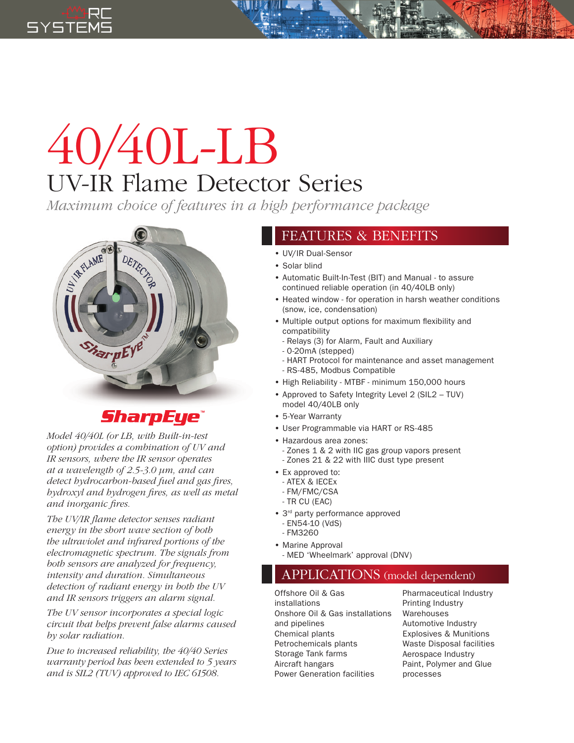

## 40/40L-LB UV-IR Flame Detector Series

*Maximum choice of features in a high performance package*



## **SharpEye®**

*Model 40/40L (or LB, with Built-in-test option) provides a combination of UV and IR sensors, where the IR sensor operates at a wavelength of 2.5-3.0 µm, and can detect hydrocarbon-based fuel and gas fires, hydroxyl and hydrogen fires, as well as metal and inorganic fires.*

*The UV/IR flame detector senses radiant energy in the short wave section of both the ultraviolet and infrared portions of the electromagnetic spectrum. The signals from both sensors are analyzed for frequency, intensity and duration. Simultaneous detection of radiant energy in both the UV and IR sensors triggers an alarm signal.*

*The UV sensor incorporates a special logic circuit that helps prevent false alarms caused by solar radiation.* 

*Due to increased reliability, the 40/40 Series warranty period has been extended to 5 years and is SIL2 (TUV) approved to IEC 61508.*

## FEATURES & BENEFITS

- UV/IR Dual-Sensor
- Solar blind
- Automatic Built-In-Test (BIT) and Manual to assure continued reliable operation (in 40/40LB only)
- Heated window for operation in harsh weather conditions (snow, ice, condensation)
- Multiple output options for maximum flexibility and compatibility
	- Relays (3) for Alarm, Fault and Auxiliary
	- 0-20mA (stepped)
	- HART Protocol for maintenance and asset management
- RS-485, Modbus Compatible
- High Reliability MTBF minimum 150,000 hours
- Approved to Safety Integrity Level 2 (SIL2 TUV) model 40/40LB only
- 5-Year Warranty
- User Programmable via HART or RS-485
- Hazardous area zones:
- Zones 1 & 2 with IIC gas group vapors present
- Zones 21 & 22 with IIIC dust type present
- Ex approved to:
	- ATEX & IECEx
	- FM/FMC/CSA
	- TR CU (EAC)
- 3<sup>rd</sup> party performance approved - EN54-10 (VdS)
- FM3260
- Marine Approval
	- MED 'Wheelmark' approval (DNV)

## APPLICATIONS (model dependent)

Offshore Oil & Gas installations Onshore Oil & Gas installations and pipelines Chemical plants Petrochemicals plants Storage Tank farms Aircraft hangars Power Generation facilities

Pharmaceutical Industry Printing Industry Warehouses Automotive Industry Explosives & Munitions Waste Disposal facilities Aerospace Industry Paint, Polymer and Glue processes